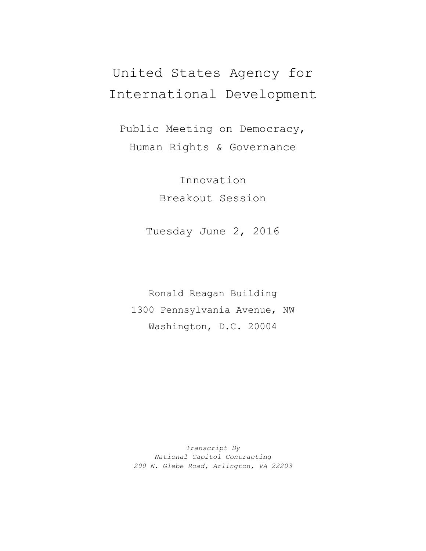## United States Agency for International Development

Public Meeting on Democracy, Human Rights & Governance

> Innovation Breakout Session

Tuesday June 2, 2016

Ronald Reagan Building 1300 Pennsylvania Avenue, NW Washington, D.C. 20004

*Transcript By National Capitol Contracting 200 N. Glebe Road, Arlington, VA 22203*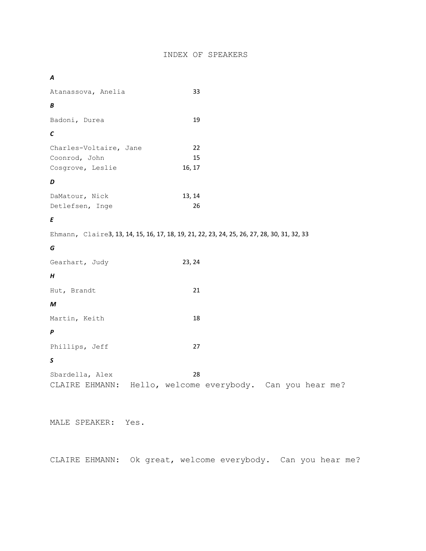| œ |  |
|---|--|
|   |  |

| Atanassova, Anelia                                                                          | 33                                               |                                               |
|---------------------------------------------------------------------------------------------|--------------------------------------------------|-----------------------------------------------|
| В                                                                                           |                                                  |                                               |
| Badoni, Durea                                                                               | 19                                               |                                               |
| $\mathbf c$                                                                                 |                                                  |                                               |
| Charles-Voltaire, Jane<br>Coonrod, John<br>Cosgrove, Leslie                                 | 22<br>15<br>16, 17                               |                                               |
| D                                                                                           |                                                  |                                               |
| DaMatour, Nick<br>Detlefsen, Inge                                                           | 13, 14<br>26                                     |                                               |
| Ε                                                                                           |                                                  |                                               |
| Ehmann, Claire3, 13, 14, 15, 16, 17, 18, 19, 21, 22, 23, 24, 25, 26, 27, 28, 30, 31, 32, 33 |                                                  |                                               |
| G                                                                                           |                                                  |                                               |
| Gearhart, Judy                                                                              | 23, 24                                           |                                               |
| H                                                                                           |                                                  |                                               |
| Hut, Brandt                                                                                 | 21                                               |                                               |
| М                                                                                           |                                                  |                                               |
| Martin, Keith                                                                               | 18                                               |                                               |
| P                                                                                           |                                                  |                                               |
| Phillips, Jeff                                                                              | 27                                               |                                               |
| S                                                                                           |                                                  |                                               |
| Sbardella, Alex<br>CLAIRE EHMANN:                                                           | 28<br>Hello, welcome everybody. Can you hear me? |                                               |
| MALE SPEAKER: Yes.                                                                          |                                                  |                                               |
| CLAIRE EHMANN:                                                                              |                                                  | Ok great, welcome everybody. Can you hear me? |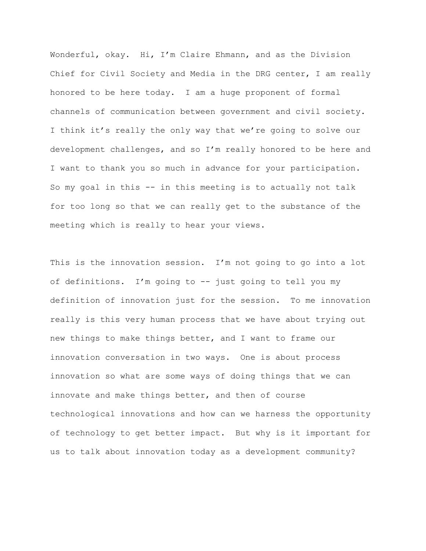Wonderful, okay. Hi, I'm Claire Ehmann, and as the Division Chief for Civil Society and Media in the DRG center, I am really honored to be here today. I am a huge proponent of formal channels of communication between government and civil society. I think it's really the only way that we're going to solve our development challenges, and so I'm really honored to be here and I want to thank you so much in advance for your participation. So my goal in this -- in this meeting is to actually not talk for too long so that we can really get to the substance of the meeting which is really to hear your views.

This is the innovation session. I'm not going to go into a lot of definitions. I'm going to -- just going to tell you my definition of innovation just for the session. To me innovation really is this very human process that we have about trying out new things to make things better, and I want to frame our innovation conversation in two ways. One is about process innovation so what are some ways of doing things that we can innovate and make things better, and then of course technological innovations and how can we harness the opportunity of technology to get better impact. But why is it important for us to talk about innovation today as a development community?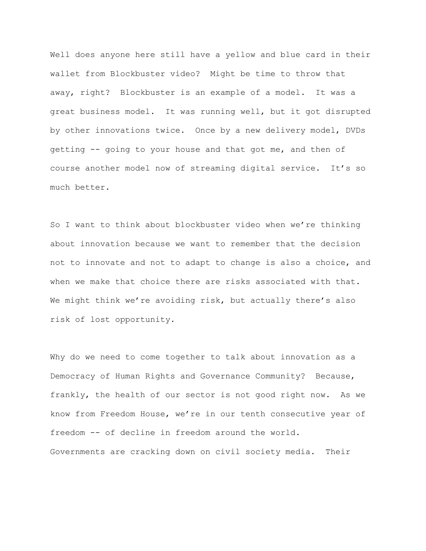Well does anyone here still have a yellow and blue card in their wallet from Blockbuster video? Might be time to throw that away, right? Blockbuster is an example of a model. It was a great business model. It was running well, but it got disrupted by other innovations twice. Once by a new delivery model, DVDs getting -- going to your house and that got me, and then of course another model now of streaming digital service. It's so much better.

So I want to think about blockbuster video when we're thinking about innovation because we want to remember that the decision not to innovate and not to adapt to change is also a choice, and when we make that choice there are risks associated with that. We might think we're avoiding risk, but actually there's also risk of lost opportunity.

Why do we need to come together to talk about innovation as a Democracy of Human Rights and Governance Community? Because, frankly, the health of our sector is not good right now. As we know from Freedom House, we're in our tenth consecutive year of freedom -- of decline in freedom around the world. Governments are cracking down on civil society media. Their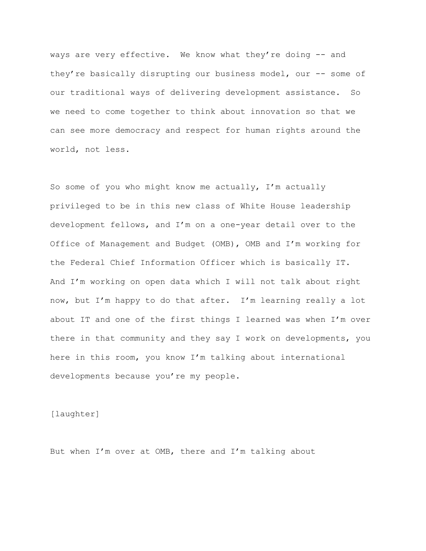ways are very effective. We know what they're doing -- and they're basically disrupting our business model, our -- some of our traditional ways of delivering development assistance. So we need to come together to think about innovation so that we can see more democracy and respect for human rights around the world, not less.

So some of you who might know me actually, I'm actually privileged to be in this new class of White House leadership development fellows, and I'm on a one-year detail over to the Office of Management and Budget (OMB), OMB and I'm working for the Federal Chief Information Officer which is basically IT. And I'm working on open data which I will not talk about right now, but I'm happy to do that after. I'm learning really a lot about IT and one of the first things I learned was when I'm over there in that community and they say I work on developments, you here in this room, you know I'm talking about international developments because you're my people.

[laughter]

But when I'm over at OMB, there and I'm talking about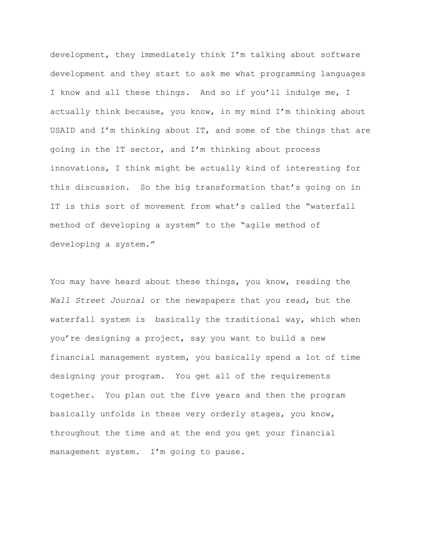development, they immediately think I'm talking about software development and they start to ask me what programming languages I know and all these things. And so if you'll indulge me, I actually think because, you know, in my mind I'm thinking about USAID and I'm thinking about IT, and some of the things that are going in the IT sector, and I'm thinking about process innovations, I think might be actually kind of interesting for this discussion. So the big transformation that's going on in IT is this sort of movement from what's called the "waterfall method of developing a system" to the "agile method of developing a system."

You may have heard about these things, you know, reading the *Wall Street Journal* or the newspapers that you read, but the waterfall system is basically the traditional way, which when you're designing a project, say you want to build a new financial management system, you basically spend a lot of time designing your program. You get all of the requirements together. You plan out the five years and then the program basically unfolds in these very orderly stages, you know, throughout the time and at the end you get your financial management system. I'm going to pause.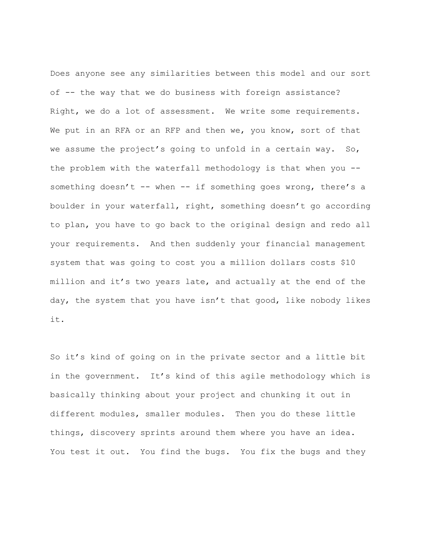Does anyone see any similarities between this model and our sort of -- the way that we do business with foreign assistance? Right, we do a lot of assessment. We write some requirements. We put in an RFA or an RFP and then we, you know, sort of that we assume the project's going to unfold in a certain way. So, the problem with the waterfall methodology is that when you - something doesn't -- when -- if something goes wrong, there's a boulder in your waterfall, right, something doesn't go according to plan, you have to go back to the original design and redo all your requirements. And then suddenly your financial management system that was going to cost you a million dollars costs \$10 million and it's two years late, and actually at the end of the day, the system that you have isn't that good, like nobody likes it.

So it's kind of going on in the private sector and a little bit in the government. It's kind of this agile methodology which is basically thinking about your project and chunking it out in different modules, smaller modules. Then you do these little things, discovery sprints around them where you have an idea. You test it out. You find the bugs. You fix the bugs and they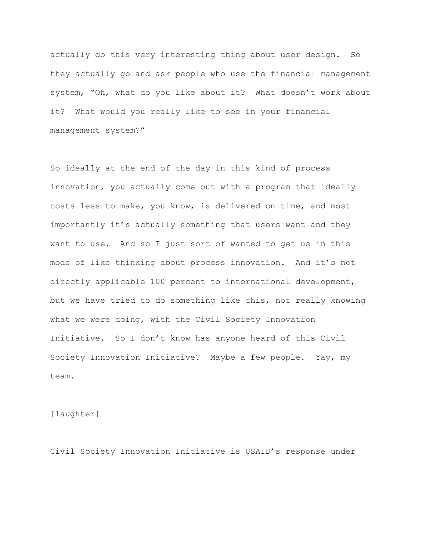actually do this very interesting thing about user design. So they actually go and ask people who use the financial management system, "Oh, what do you like about it? What doesn't work about it? What would you really like to see in your financial management system?"

So ideally at the end of the day in this kind of process innovation, you actually come out with a program that ideally costs less to make, you know, is delivered on time, and most importantly it's actually something that users want and they want to use. And so I just sort of wanted to get us in this mode of like thinking about process innovation. And it's not directly applicable 100 percent to international development, but we have tried to do something like this, not really knowing what we were doing, with the Civil Society Innovation Initiative. So I don't know has anyone heard of this Civil Society Innovation Initiative? Maybe a few people. Yay, my team.

[laughter]

Civil Society Innovation Initiative is USAID's response under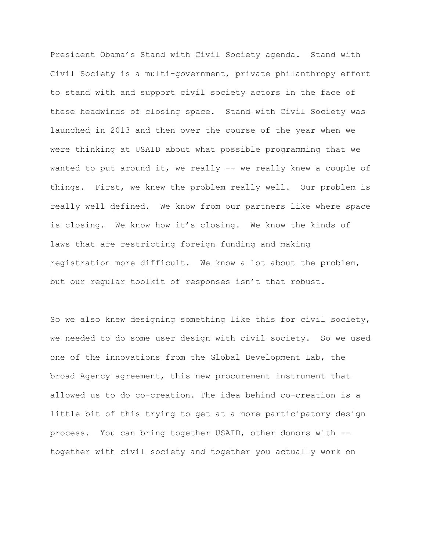President Obama's Stand with Civil Society agenda. Stand with Civil Society is a multi-government, private philanthropy effort to stand with and support civil society actors in the face of these headwinds of closing space. Stand with Civil Society was launched in 2013 and then over the course of the year when we were thinking at USAID about what possible programming that we wanted to put around it, we really -- we really knew a couple of things. First, we knew the problem really well. Our problem is really well defined. We know from our partners like where space is closing. We know how it's closing. We know the kinds of laws that are restricting foreign funding and making registration more difficult. We know a lot about the problem, but our regular toolkit of responses isn't that robust.

So we also knew designing something like this for civil society, we needed to do some user design with civil society. So we used one of the innovations from the Global Development Lab, the broad Agency agreement, this new procurement instrument that allowed us to do co-creation. The idea behind co-creation is a little bit of this trying to get at a more participatory design process. You can bring together USAID, other donors with - together with civil society and together you actually work on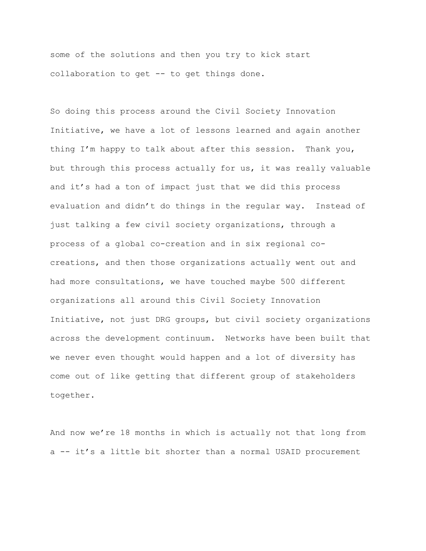some of the solutions and then you try to kick start collaboration to get -- to get things done.

So doing this process around the Civil Society Innovation Initiative, we have a lot of lessons learned and again another thing I'm happy to talk about after this session. Thank you, but through this process actually for us, it was really valuable and it's had a ton of impact just that we did this process evaluation and didn't do things in the regular way. Instead of just talking a few civil society organizations, through a process of a global co-creation and in six regional cocreations, and then those organizations actually went out and had more consultations, we have touched maybe 500 different organizations all around this Civil Society Innovation Initiative, not just DRG groups, but civil society organizations across the development continuum. Networks have been built that we never even thought would happen and a lot of diversity has come out of like getting that different group of stakeholders together.

And now we're 18 months in which is actually not that long from a -- it's a little bit shorter than a normal USAID procurement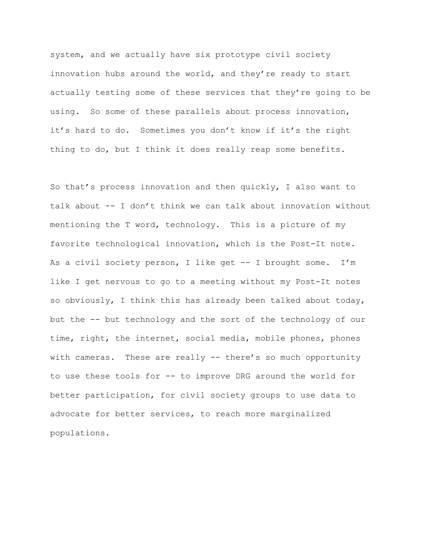system, and we actually have six prototype civil society innovation hubs around the world, and they're ready to start actually testing some of these services that they're going to be using. So some of these parallels about process innovation, it's hard to do. Sometimes you don't know if it's the right thing to do, but I think it does really reap some benefits.

So that's process innovation and then quickly, I also want to talk about -- I don't think we can talk about innovation without mentioning the T word, technology. This is a picture of my favorite technological innovation, which is the Post-It note. As a civil society person, I like get  $-$  I brought some. I'm like I get nervous to go to a meeting without my Post-It notes so obviously, I think this has already been talked about today, but the -- but technology and the sort of the technology of our time, right, the internet, social media, mobile phones, phones with cameras. These are really -- there's so much opportunity to use these tools for -- to improve DRG around the world for better participation, for civil society groups to use data to advocate for better services, to reach more marginalized populations.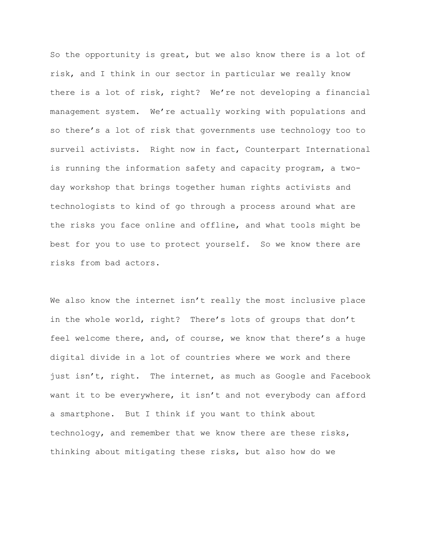So the opportunity is great, but we also know there is a lot of risk, and I think in our sector in particular we really know there is a lot of risk, right? We're not developing a financial management system. We're actually working with populations and so there's a lot of risk that governments use technology too to surveil activists. Right now in fact, Counterpart International is running the information safety and capacity program, a twoday workshop that brings together human rights activists and technologists to kind of go through a process around what are the risks you face online and offline, and what tools might be best for you to use to protect yourself. So we know there are risks from bad actors.

We also know the internet isn't really the most inclusive place in the whole world, right? There's lots of groups that don't feel welcome there, and, of course, we know that there's a huge digital divide in a lot of countries where we work and there just isn't, right. The internet, as much as Google and Facebook want it to be everywhere, it isn't and not everybody can afford a smartphone. But I think if you want to think about technology, and remember that we know there are these risks, thinking about mitigating these risks, but also how do we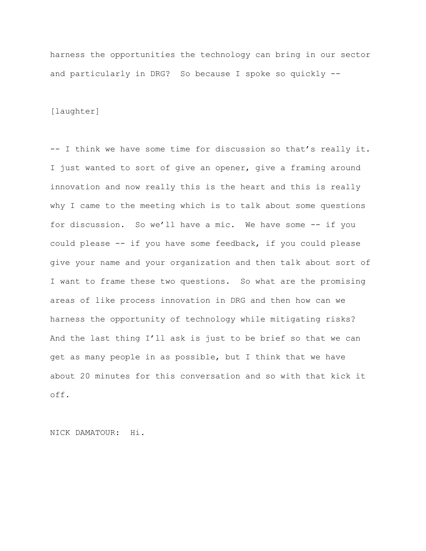harness the opportunities the technology can bring in our sector and particularly in DRG? So because I spoke so quickly --

[laughter]

-- I think we have some time for discussion so that's really it. I just wanted to sort of give an opener, give a framing around innovation and now really this is the heart and this is really why I came to the meeting which is to talk about some questions for discussion. So we'll have a mic. We have some -- if you could please -- if you have some feedback, if you could please give your name and your organization and then talk about sort of I want to frame these two questions. So what are the promising areas of like process innovation in DRG and then how can we harness the opportunity of technology while mitigating risks? And the last thing I'll ask is just to be brief so that we can get as many people in as possible, but I think that we have about 20 minutes for this conversation and so with that kick it off.

NICK DAMATOUR: Hi.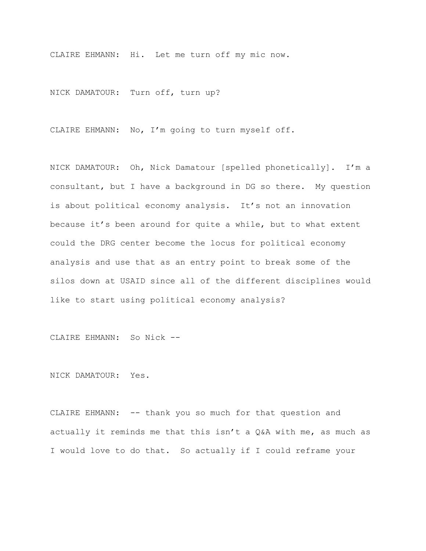CLAIRE EHMANN: Hi. Let me turn off my mic now.

NICK DAMATOUR: Turn off, turn up?

CLAIRE EHMANN: No, I'm going to turn myself off.

NICK DAMATOUR: Oh, Nick Damatour [spelled phonetically]. I'm a consultant, but I have a background in DG so there. My question is about political economy analysis. It's not an innovation because it's been around for quite a while, but to what extent could the DRG center become the locus for political economy analysis and use that as an entry point to break some of the silos down at USAID since all of the different disciplines would like to start using political economy analysis?

CLAIRE EHMANN: So Nick --

NICK DAMATOUR: Yes.

CLAIRE EHMANN: -- thank you so much for that question and actually it reminds me that this isn't a Q&A with me, as much as I would love to do that. So actually if I could reframe your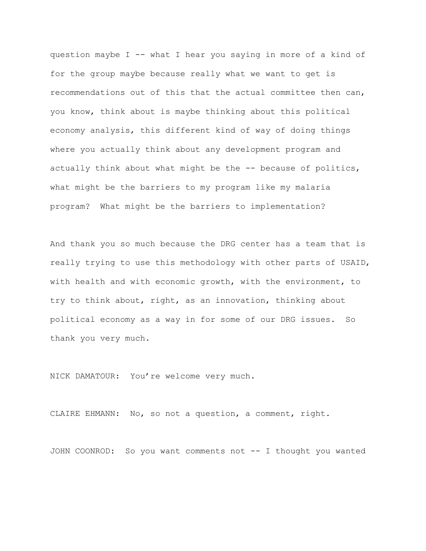question maybe I -- what I hear you saying in more of a kind of for the group maybe because really what we want to get is recommendations out of this that the actual committee then can, you know, think about is maybe thinking about this political economy analysis, this different kind of way of doing things where you actually think about any development program and actually think about what might be the -- because of politics, what might be the barriers to my program like my malaria program? What might be the barriers to implementation?

And thank you so much because the DRG center has a team that is really trying to use this methodology with other parts of USAID, with health and with economic growth, with the environment, to try to think about, right, as an innovation, thinking about political economy as a way in for some of our DRG issues. So thank you very much.

NICK DAMATOUR: You're welcome very much.

CLAIRE EHMANN: No, so not a question, a comment, right.

JOHN COONROD: So you want comments not -- I thought you wanted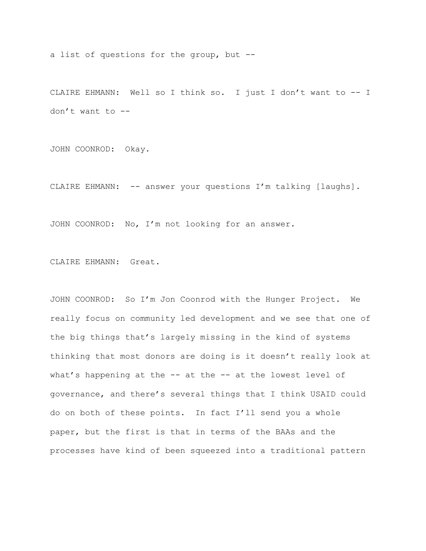a list of questions for the group, but --

CLAIRE EHMANN: Well so I think so. I just I don't want to -- I don't want to --

JOHN COONROD: Okay.

CLAIRE EHMANN: -- answer your questions I'm talking [laughs].

JOHN COONROD: No, I'm not looking for an answer.

CLAIRE EHMANN: Great.

JOHN COONROD: So I'm Jon Coonrod with the Hunger Project. We really focus on community led development and we see that one of the big things that's largely missing in the kind of systems thinking that most donors are doing is it doesn't really look at what's happening at the -- at the -- at the lowest level of governance, and there's several things that I think USAID could do on both of these points. In fact I'll send you a whole paper, but the first is that in terms of the BAAs and the processes have kind of been squeezed into a traditional pattern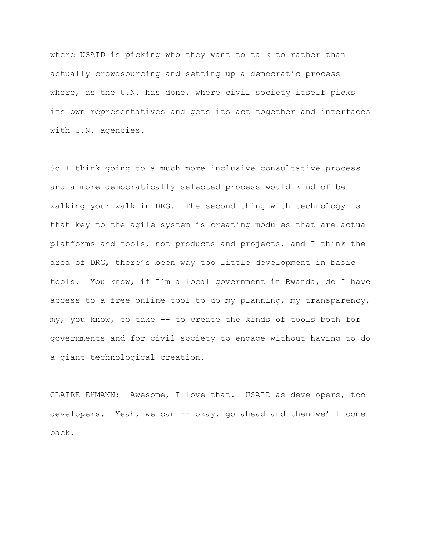where USAID is picking who they want to talk to rather than actually crowdsourcing and setting up a democratic process where, as the U.N. has done, where civil society itself picks its own representatives and gets its act together and interfaces with U.N. agencies.

So I think going to a much more inclusive consultative process and a more democratically selected process would kind of be walking your walk in DRG. The second thing with technology is that key to the agile system is creating modules that are actual platforms and tools, not products and projects, and I think the area of DRG, there's been way too little development in basic tools. You know, if I'm a local government in Rwanda, do I have access to a free online tool to do my planning, my transparency, my, you know, to take -- to create the kinds of tools both for governments and for civil society to engage without having to do a giant technological creation.

CLAIRE EHMANN: Awesome, I love that. USAID as developers, tool developers. Yeah, we can -- okay, go ahead and then we'll come back.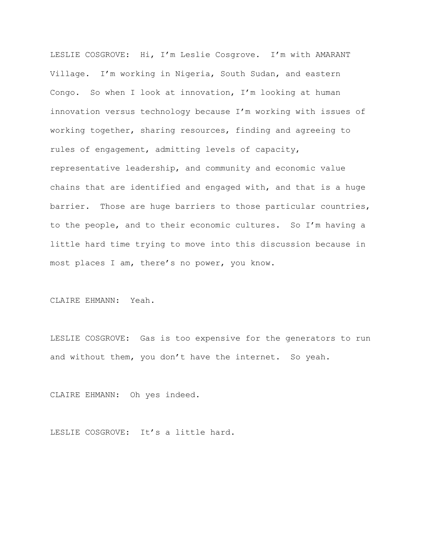LESLIE COSGROVE: Hi, I'm Leslie Cosgrove. I'm with AMARANT Village. I'm working in Nigeria, South Sudan, and eastern Congo. So when I look at innovation, I'm looking at human innovation versus technology because I'm working with issues of working together, sharing resources, finding and agreeing to rules of engagement, admitting levels of capacity, representative leadership, and community and economic value chains that are identified and engaged with, and that is a huge barrier. Those are huge barriers to those particular countries, to the people, and to their economic cultures. So I'm having a little hard time trying to move into this discussion because in most places I am, there's no power, you know.

CLAIRE EHMANN: Yeah.

LESLIE COSGROVE: Gas is too expensive for the generators to run and without them, you don't have the internet. So yeah.

CLAIRE EHMANN: Oh yes indeed.

LESLIE COSGROVE: It's a little hard.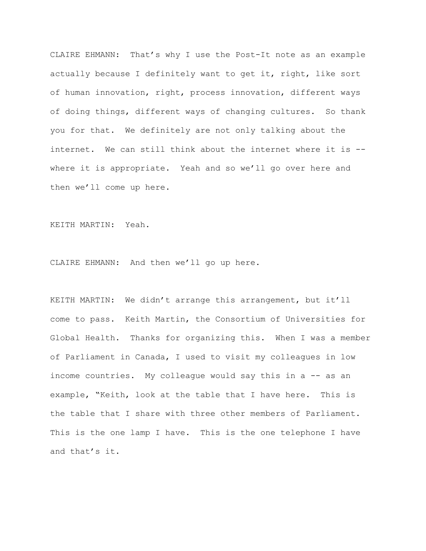CLAIRE EHMANN: That's why I use the Post-It note as an example actually because I definitely want to get it, right, like sort of human innovation, right, process innovation, different ways of doing things, different ways of changing cultures. So thank you for that. We definitely are not only talking about the internet. We can still think about the internet where it is - where it is appropriate. Yeah and so we'll go over here and then we'll come up here.

KEITH MARTIN: Yeah.

CLAIRE EHMANN: And then we'll go up here.

KEITH MARTIN: We didn't arrange this arrangement, but it'll come to pass. Keith Martin, the Consortium of Universities for Global Health. Thanks for organizing this. When I was a member of Parliament in Canada, I used to visit my colleagues in low income countries. My colleague would say this in a -- as an example, "Keith, look at the table that I have here. This is the table that I share with three other members of Parliament. This is the one lamp I have. This is the one telephone I have and that's it.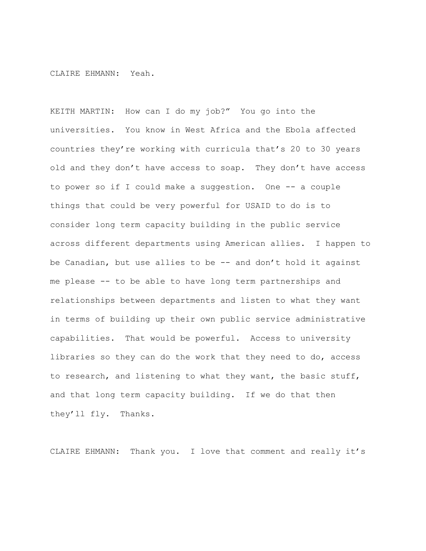CLAIRE EHMANN: Yeah.

KEITH MARTIN: How can I do my job?" You go into the universities. You know in West Africa and the Ebola affected countries they're working with curricula that's 20 to 30 years old and they don't have access to soap. They don't have access to power so if I could make a suggestion. One -- a couple things that could be very powerful for USAID to do is to consider long term capacity building in the public service across different departments using American allies. I happen to be Canadian, but use allies to be -- and don't hold it against me please -- to be able to have long term partnerships and relationships between departments and listen to what they want in terms of building up their own public service administrative capabilities. That would be powerful. Access to university libraries so they can do the work that they need to do, access to research, and listening to what they want, the basic stuff, and that long term capacity building. If we do that then they'll fly. Thanks.

CLAIRE EHMANN: Thank you. I love that comment and really it's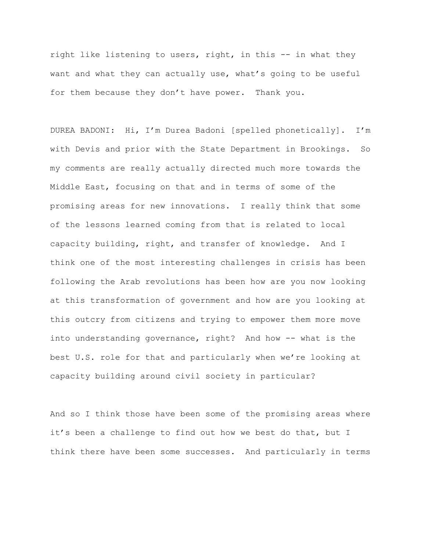right like listening to users, right, in this -- in what they want and what they can actually use, what's going to be useful for them because they don't have power. Thank you.

DUREA BADONI: Hi, I'm Durea Badoni [spelled phonetically]. I'm with Devis and prior with the State Department in Brookings. So my comments are really actually directed much more towards the Middle East, focusing on that and in terms of some of the promising areas for new innovations. I really think that some of the lessons learned coming from that is related to local capacity building, right, and transfer of knowledge. And I think one of the most interesting challenges in crisis has been following the Arab revolutions has been how are you now looking at this transformation of government and how are you looking at this outcry from citizens and trying to empower them more move into understanding governance, right? And how -- what is the best U.S. role for that and particularly when we're looking at capacity building around civil society in particular?

And so I think those have been some of the promising areas where it's been a challenge to find out how we best do that, but I think there have been some successes. And particularly in terms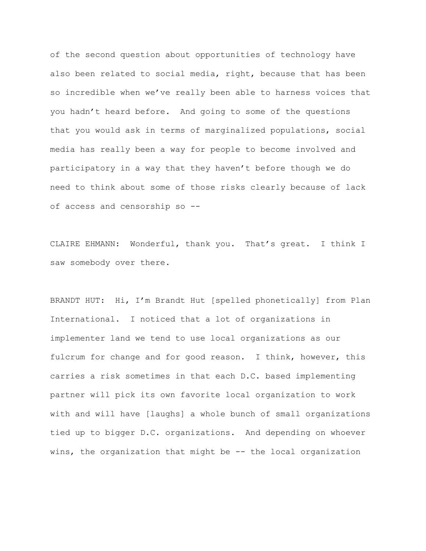of the second question about opportunities of technology have also been related to social media, right, because that has been so incredible when we've really been able to harness voices that you hadn't heard before. And going to some of the questions that you would ask in terms of marginalized populations, social media has really been a way for people to become involved and participatory in a way that they haven't before though we do need to think about some of those risks clearly because of lack of access and censorship so --

CLAIRE EHMANN: Wonderful, thank you. That's great. I think I saw somebody over there.

BRANDT HUT: Hi, I'm Brandt Hut [spelled phonetically] from Plan International. I noticed that a lot of organizations in implementer land we tend to use local organizations as our fulcrum for change and for good reason. I think, however, this carries a risk sometimes in that each D.C. based implementing partner will pick its own favorite local organization to work with and will have [laughs] a whole bunch of small organizations tied up to bigger D.C. organizations. And depending on whoever wins, the organization that might be -- the local organization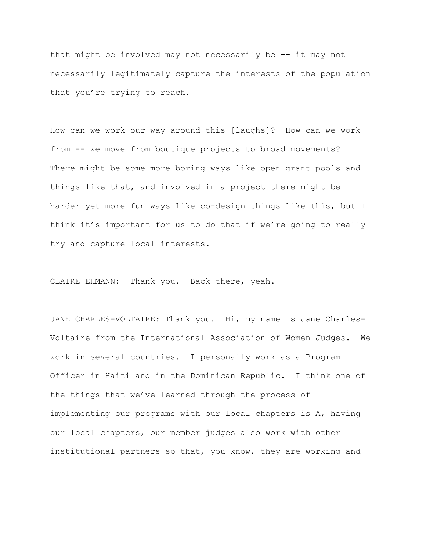that might be involved may not necessarily be -- it may not necessarily legitimately capture the interests of the population that you're trying to reach.

How can we work our way around this [laughs]? How can we work from -- we move from boutique projects to broad movements? There might be some more boring ways like open grant pools and things like that, and involved in a project there might be harder yet more fun ways like co-design things like this, but I think it's important for us to do that if we're going to really try and capture local interests.

CLAIRE EHMANN: Thank you. Back there, yeah.

JANE CHARLES-VOLTAIRE: Thank you. Hi, my name is Jane Charles-Voltaire from the International Association of Women Judges. We work in several countries. I personally work as a Program Officer in Haiti and in the Dominican Republic. I think one of the things that we've learned through the process of implementing our programs with our local chapters is A, having our local chapters, our member judges also work with other institutional partners so that, you know, they are working and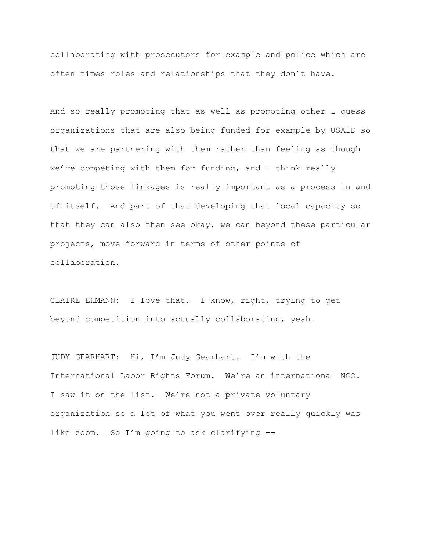collaborating with prosecutors for example and police which are often times roles and relationships that they don't have.

And so really promoting that as well as promoting other I guess organizations that are also being funded for example by USAID so that we are partnering with them rather than feeling as though we're competing with them for funding, and I think really promoting those linkages is really important as a process in and of itself. And part of that developing that local capacity so that they can also then see okay, we can beyond these particular projects, move forward in terms of other points of collaboration.

CLAIRE EHMANN: I love that. I know, right, trying to get beyond competition into actually collaborating, yeah.

JUDY GEARHART: Hi, I'm Judy Gearhart. I'm with the International Labor Rights Forum. We're an international NGO. I saw it on the list. We're not a private voluntary organization so a lot of what you went over really quickly was like zoom. So I'm going to ask clarifying --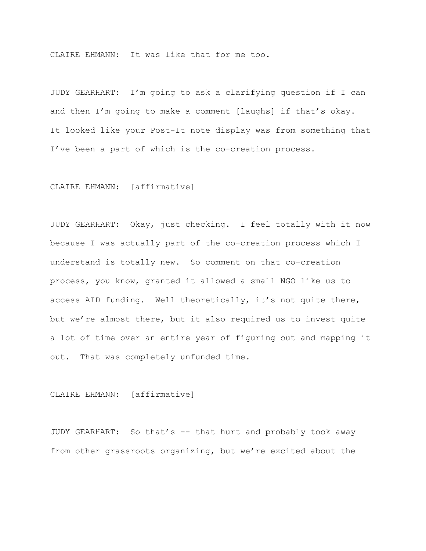CLAIRE EHMANN: It was like that for me too.

JUDY GEARHART: I'm going to ask a clarifying question if I can and then I'm going to make a comment [laughs] if that's okay. It looked like your Post-It note display was from something that I've been a part of which is the co-creation process.

## CLAIRE EHMANN: [affirmative]

JUDY GEARHART: Okay, just checking. I feel totally with it now because I was actually part of the co-creation process which I understand is totally new. So comment on that co-creation process, you know, granted it allowed a small NGO like us to access AID funding. Well theoretically, it's not quite there, but we're almost there, but it also required us to invest quite a lot of time over an entire year of figuring out and mapping it out. That was completely unfunded time.

## CLAIRE EHMANN: [affirmative]

JUDY GEARHART: So that's -- that hurt and probably took away from other grassroots organizing, but we're excited about the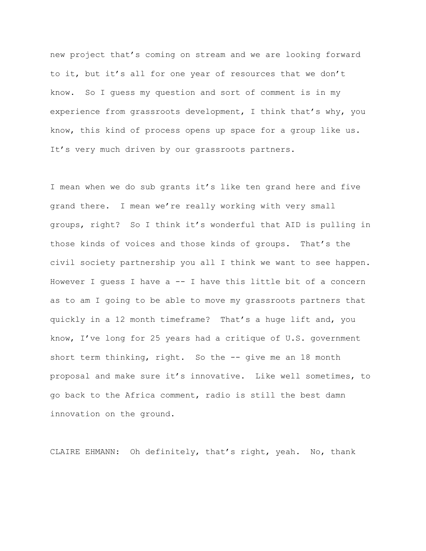new project that's coming on stream and we are looking forward to it, but it's all for one year of resources that we don't know. So I guess my question and sort of comment is in my experience from grassroots development, I think that's why, you know, this kind of process opens up space for a group like us. It's very much driven by our grassroots partners.

I mean when we do sub grants it's like ten grand here and five grand there. I mean we're really working with very small groups, right? So I think it's wonderful that AID is pulling in those kinds of voices and those kinds of groups. That's the civil society partnership you all I think we want to see happen. However I quess I have  $a -1$  have this little bit of a concern as to am I going to be able to move my grassroots partners that quickly in a 12 month timeframe? That's a huge lift and, you know, I've long for 25 years had a critique of U.S. government short term thinking, right. So the -- give me an 18 month proposal and make sure it's innovative. Like well sometimes, to go back to the Africa comment, radio is still the best damn innovation on the ground.

CLAIRE EHMANN: Oh definitely, that's right, yeah. No, thank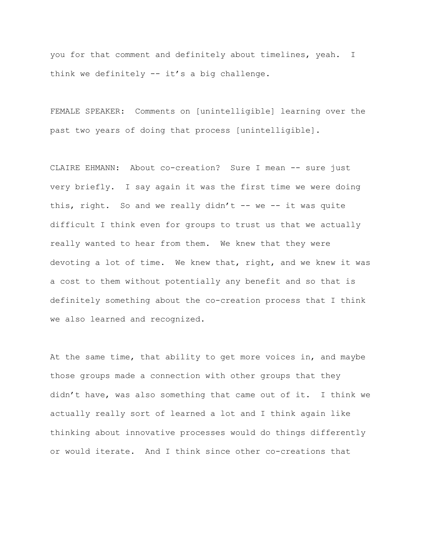you for that comment and definitely about timelines, yeah. I think we definitely -- it's a big challenge.

FEMALE SPEAKER: Comments on [unintelligible] learning over the past two years of doing that process [unintelligible].

CLAIRE EHMANN: About co-creation? Sure I mean -- sure just very briefly. I say again it was the first time we were doing this, right. So and we really didn't  $-$  we  $-$  it was quite difficult I think even for groups to trust us that we actually really wanted to hear from them. We knew that they were devoting a lot of time. We knew that, right, and we knew it was a cost to them without potentially any benefit and so that is definitely something about the co-creation process that I think we also learned and recognized.

At the same time, that ability to get more voices in, and maybe those groups made a connection with other groups that they didn't have, was also something that came out of it. I think we actually really sort of learned a lot and I think again like thinking about innovative processes would do things differently or would iterate. And I think since other co-creations that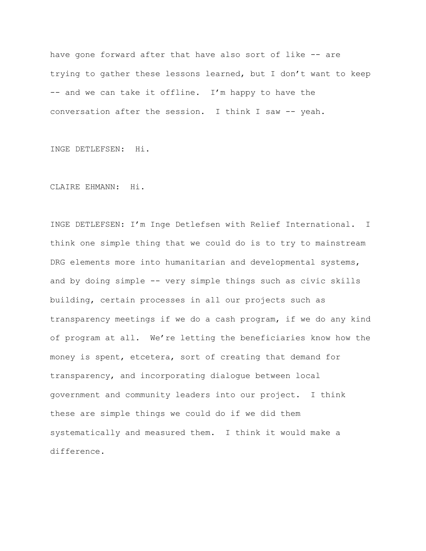have gone forward after that have also sort of like -- are trying to gather these lessons learned, but I don't want to keep -- and we can take it offline. I'm happy to have the conversation after the session. I think I saw -- yeah.

INGE DETLEFSEN: Hi.

CLAIRE EHMANN: Hi.

INGE DETLEFSEN: I'm Inge Detlefsen with Relief International. I think one simple thing that we could do is to try to mainstream DRG elements more into humanitarian and developmental systems, and by doing simple -- very simple things such as civic skills building, certain processes in all our projects such as transparency meetings if we do a cash program, if we do any kind of program at all. We're letting the beneficiaries know how the money is spent, etcetera, sort of creating that demand for transparency, and incorporating dialogue between local government and community leaders into our project. I think these are simple things we could do if we did them systematically and measured them. I think it would make a difference.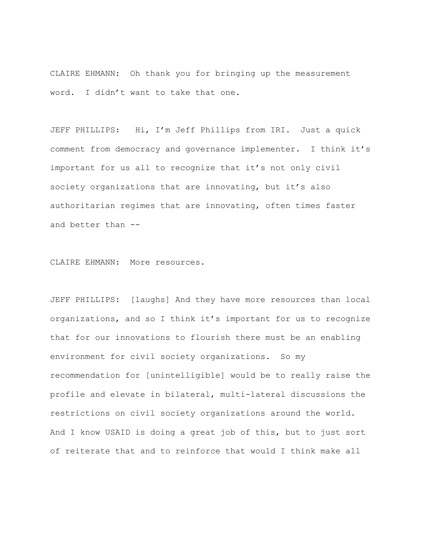CLAIRE EHMANN: Oh thank you for bringing up the measurement word. I didn't want to take that one.

JEFF PHILLIPS: Hi, I'm Jeff Phillips from IRI. Just a quick comment from democracy and governance implementer. I think it's important for us all to recognize that it's not only civil society organizations that are innovating, but it's also authoritarian regimes that are innovating, often times faster and better than --

CLAIRE EHMANN: More resources.

JEFF PHILLIPS: [laughs] And they have more resources than local organizations, and so I think it's important for us to recognize that for our innovations to flourish there must be an enabling environment for civil society organizations. So my recommendation for [unintelligible] would be to really raise the profile and elevate in bilateral, multi-lateral discussions the restrictions on civil society organizations around the world. And I know USAID is doing a great job of this, but to just sort of reiterate that and to reinforce that would I think make all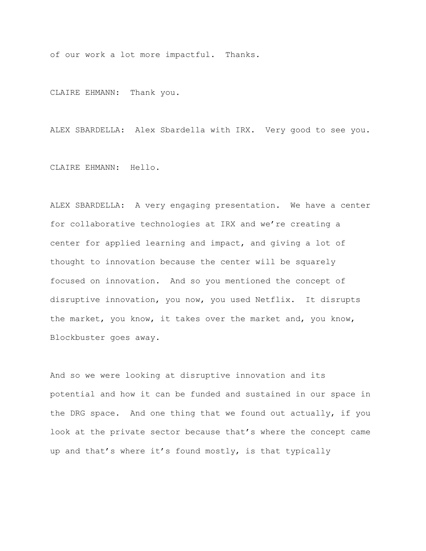of our work a lot more impactful. Thanks.

CLAIRE EHMANN: Thank you.

ALEX SBARDELLA: Alex Sbardella with IRX. Very good to see you.

CLAIRE EHMANN: Hello.

ALEX SBARDELLA: A very engaging presentation. We have a center for collaborative technologies at IRX and we're creating a center for applied learning and impact, and giving a lot of thought to innovation because the center will be squarely focused on innovation. And so you mentioned the concept of disruptive innovation, you now, you used Netflix. It disrupts the market, you know, it takes over the market and, you know, Blockbuster goes away.

And so we were looking at disruptive innovation and its potential and how it can be funded and sustained in our space in the DRG space. And one thing that we found out actually, if you look at the private sector because that's where the concept came up and that's where it's found mostly, is that typically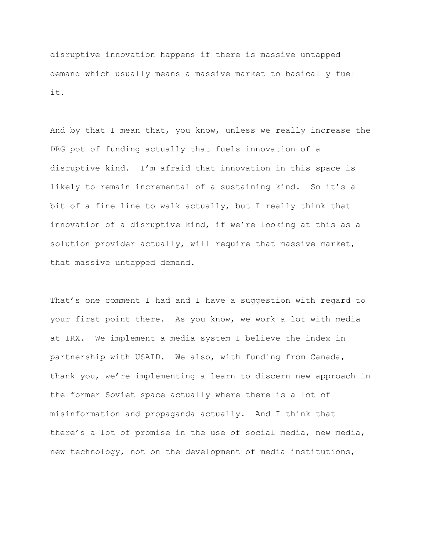disruptive innovation happens if there is massive untapped demand which usually means a massive market to basically fuel it.

And by that I mean that, you know, unless we really increase the DRG pot of funding actually that fuels innovation of a disruptive kind. I'm afraid that innovation in this space is likely to remain incremental of a sustaining kind. So it's a bit of a fine line to walk actually, but I really think that innovation of a disruptive kind, if we're looking at this as a solution provider actually, will require that massive market, that massive untapped demand.

That's one comment I had and I have a suggestion with regard to your first point there. As you know, we work a lot with media at IRX. We implement a media system I believe the index in partnership with USAID. We also, with funding from Canada, thank you, we're implementing a learn to discern new approach in the former Soviet space actually where there is a lot of misinformation and propaganda actually. And I think that there's a lot of promise in the use of social media, new media, new technology, not on the development of media institutions,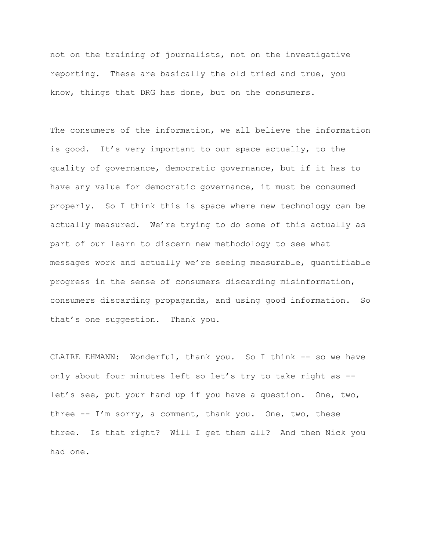not on the training of journalists, not on the investigative reporting. These are basically the old tried and true, you know, things that DRG has done, but on the consumers.

The consumers of the information, we all believe the information is good. It's very important to our space actually, to the quality of governance, democratic governance, but if it has to have any value for democratic governance, it must be consumed properly. So I think this is space where new technology can be actually measured. We're trying to do some of this actually as part of our learn to discern new methodology to see what messages work and actually we're seeing measurable, quantifiable progress in the sense of consumers discarding misinformation, consumers discarding propaganda, and using good information. So that's one suggestion. Thank you.

CLAIRE EHMANN: Wonderful, thank you. So I think -- so we have only about four minutes left so let's try to take right as - let's see, put your hand up if you have a question. One, two, three -- I'm sorry, a comment, thank you. One, two, these three. Is that right? Will I get them all? And then Nick you had one.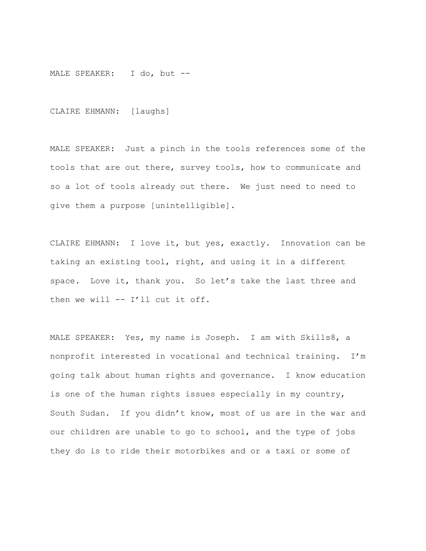MALE SPEAKER: I do, but --

CLAIRE EHMANN: [laughs]

MALE SPEAKER: Just a pinch in the tools references some of the tools that are out there, survey tools, how to communicate and so a lot of tools already out there. We just need to need to give them a purpose [unintelligible].

CLAIRE EHMANN: I love it, but yes, exactly. Innovation can be taking an existing tool, right, and using it in a different space. Love it, thank you. So let's take the last three and then we will -- I'll cut it off.

MALE SPEAKER: Yes, my name is Joseph. I am with Skills8, a nonprofit interested in vocational and technical training. I'm going talk about human rights and governance. I know education is one of the human rights issues especially in my country, South Sudan. If you didn't know, most of us are in the war and our children are unable to go to school, and the type of jobs they do is to ride their motorbikes and or a taxi or some of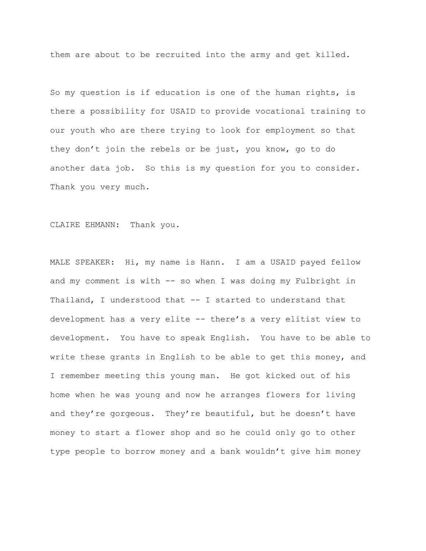them are about to be recruited into the army and get killed.

So my question is if education is one of the human rights, is there a possibility for USAID to provide vocational training to our youth who are there trying to look for employment so that they don't join the rebels or be just, you know, go to do another data job. So this is my question for you to consider. Thank you very much.

CLAIRE EHMANN: Thank you.

MALE SPEAKER: Hi, my name is Hann. I am a USAID payed fellow and my comment is with -- so when I was doing my Fulbright in Thailand, I understood that -- I started to understand that development has a very elite -- there's a very elitist view to development. You have to speak English. You have to be able to write these grants in English to be able to get this money, and I remember meeting this young man. He got kicked out of his home when he was young and now he arranges flowers for living and they're gorgeous. They're beautiful, but he doesn't have money to start a flower shop and so he could only go to other type people to borrow money and a bank wouldn't give him money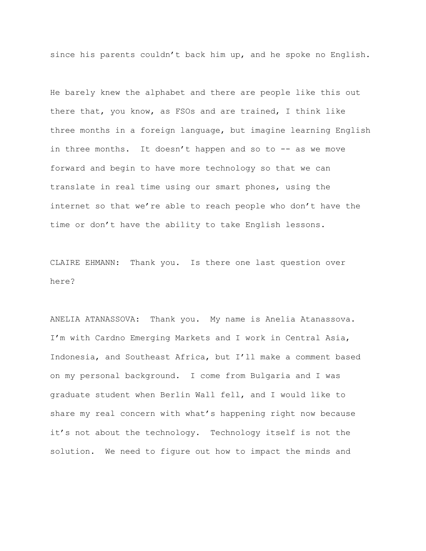since his parents couldn't back him up, and he spoke no English.

He barely knew the alphabet and there are people like this out there that, you know, as FSOs and are trained, I think like three months in a foreign language, but imagine learning English in three months. It doesn't happen and so to  $-$  as we move forward and begin to have more technology so that we can translate in real time using our smart phones, using the internet so that we're able to reach people who don't have the time or don't have the ability to take English lessons.

CLAIRE EHMANN: Thank you. Is there one last question over here?

ANELIA ATANASSOVA: Thank you. My name is Anelia Atanassova. I'm with Cardno Emerging Markets and I work in Central Asia, Indonesia, and Southeast Africa, but I'll make a comment based on my personal background. I come from Bulgaria and I was graduate student when Berlin Wall fell, and I would like to share my real concern with what's happening right now because it's not about the technology. Technology itself is not the solution. We need to figure out how to impact the minds and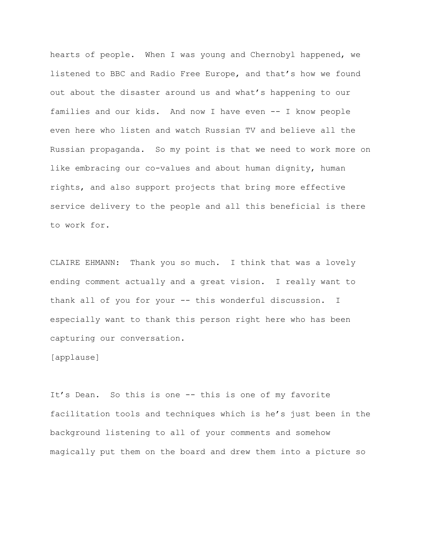hearts of people. When I was young and Chernobyl happened, we listened to BBC and Radio Free Europe, and that's how we found out about the disaster around us and what's happening to our families and our kids. And now I have even -- I know people even here who listen and watch Russian TV and believe all the Russian propaganda. So my point is that we need to work more on like embracing our co-values and about human dignity, human rights, and also support projects that bring more effective service delivery to the people and all this beneficial is there to work for.

CLAIRE EHMANN: Thank you so much. I think that was a lovely ending comment actually and a great vision. I really want to thank all of you for your -- this wonderful discussion. I especially want to thank this person right here who has been capturing our conversation.

[applause]

It's Dean. So this is one -- this is one of my favorite facilitation tools and techniques which is he's just been in the background listening to all of your comments and somehow magically put them on the board and drew them into a picture so